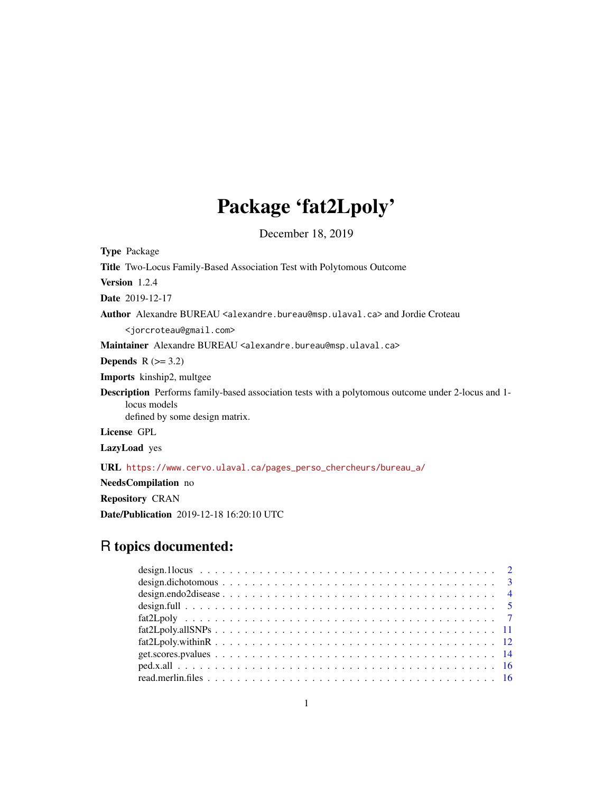## Package 'fat2Lpoly'

December 18, 2019

<span id="page-0-0"></span>

| <b>Type Package</b>                                                                                                                                         |
|-------------------------------------------------------------------------------------------------------------------------------------------------------------|
| <b>Title</b> Two-Locus Family-Based Association Test with Polytomous Outcome                                                                                |
| Version 1.2.4                                                                                                                                               |
| <b>Date</b> 2019-12-17                                                                                                                                      |
| <b>Author</b> Alexandre BUREAU <alexandre.bureau@msp.ulaval.ca> and Jordie Croteau</alexandre.bureau@msp.ulaval.ca>                                         |
| <jorcroteau@gmail.com></jorcroteau@gmail.com>                                                                                                               |
| Maintainer Alexandre BUREAU <alexandre.bureau@msp.ulaval.ca></alexandre.bureau@msp.ulaval.ca>                                                               |
| <b>Depends</b> $R (=3.2)$                                                                                                                                   |
| <b>Imports</b> kinship2, multgee                                                                                                                            |
| <b>Description</b> Performs family-based association tests with a polytomous outcome under 2-locus and 1-<br>locus models<br>defined by some design matrix. |
| License GPL                                                                                                                                                 |
| <b>LazyLoad</b> yes                                                                                                                                         |
| URL https://www.cervo.ulaval.ca/pages_perso_chercheurs/bureau_a/                                                                                            |
| <b>NeedsCompilation</b> no                                                                                                                                  |

Repository CRAN

Date/Publication 2019-12-18 16:20:10 UTC

### R topics documented: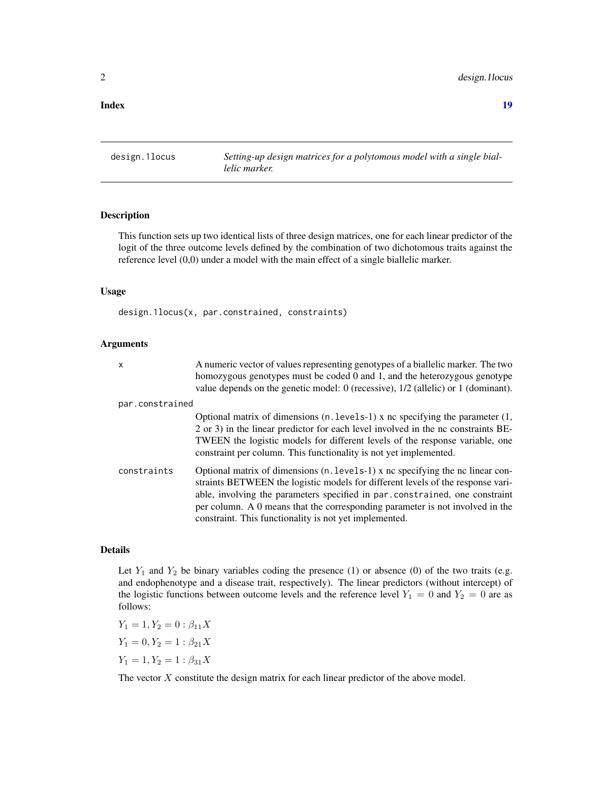#### <span id="page-1-0"></span>**Index** 2008 **[19](#page-18-0)99**

design.1locus *Setting-up design matrices for a polytomous model with a single biallelic marker.*

#### Description

This function sets up two identical lists of three design matrices, one for each linear predictor of the logit of the three outcome levels defined by the combination of two dichotomous traits against the reference level (0,0) under a model with the main effect of a single biallelic marker.

#### Usage

design.1locus(x, par.constrained, constraints)

#### Arguments

| $\mathsf{x}$    | A numeric vector of values representing genotypes of a biallelic marker. The two<br>homozygous genotypes must be coded 0 and 1, and the heterozygous genotype<br>value depends on the genetic model: $0$ (recessive), $1/2$ (allelic) or $1$ (dominant).                                                                                                                                    |
|-----------------|---------------------------------------------------------------------------------------------------------------------------------------------------------------------------------------------------------------------------------------------------------------------------------------------------------------------------------------------------------------------------------------------|
| par.constrained |                                                                                                                                                                                                                                                                                                                                                                                             |
|                 | Optional matrix of dimensions $(n, levels-1)$ x nc specifying the parameter $(1,$<br>2 or 3) in the linear predictor for each level involved in the nc constraints BE-<br>TWEEN the logistic models for different levels of the response variable, one<br>constraint per column. This functionality is not yet implemented.                                                                 |
| constraints     | Optional matrix of dimensions (n. levels-1) x nc specifying the nc linear con-<br>straints BETWEEN the logistic models for different levels of the response vari-<br>able, involving the parameters specified in par constrained, one constraint<br>per column. A 0 means that the corresponding parameter is not involved in the<br>constraint. This functionality is not yet implemented. |

#### Details

Let  $Y_1$  and  $Y_2$  be binary variables coding the presence (1) or absence (0) of the two traits (e.g. and endophenotype and a disease trait, respectively). The linear predictors (without intercept) of the logistic functions between outcome levels and the reference level  $Y_1 = 0$  and  $Y_2 = 0$  are as follows:

 $Y_1 = 1, Y_2 = 0 : \beta_{11} X$  $Y_1 = 0, Y_2 = 1 : \beta_{21} X$  $Y_1 = 1, Y_2 = 1 : \beta_{31} X$ 

The vector  $X$  constitute the design matrix for each linear predictor of the above model.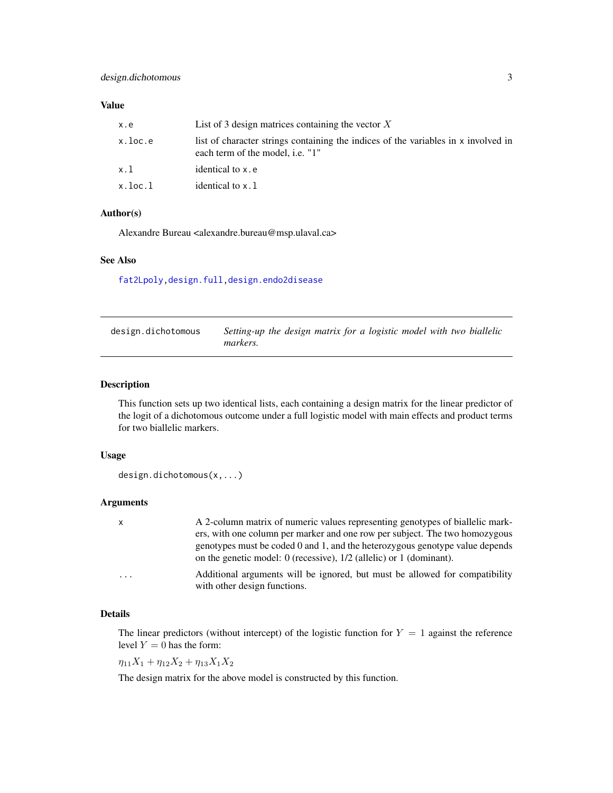#### <span id="page-2-0"></span>Value

| x.e     | List of 3 design matrices containing the vector $X$                                                                           |
|---------|-------------------------------------------------------------------------------------------------------------------------------|
| x.loc.e | list of character strings containing the indices of the variables in x involved in<br>each term of the model, <i>i.e.</i> "1" |
| x.1     | identical to x.e                                                                                                              |
| x.loc.l | identical to x.1                                                                                                              |

#### Author(s)

Alexandre Bureau <alexandre.bureau@msp.ulaval.ca>

### See Also

[fat2Lpoly](#page-6-1)[,design.full,](#page-4-1)[design.endo2disease](#page-3-1)

| design.dichotomous | Setting-up the design matrix for a logistic model with two biallelic |
|--------------------|----------------------------------------------------------------------|
|                    | markers.                                                             |

#### Description

This function sets up two identical lists, each containing a design matrix for the linear predictor of the logit of a dichotomous outcome under a full logistic model with main effects and product terms for two biallelic markers.

#### Usage

```
design.dichotomous(x,...)
```
#### Arguments

| $\mathbf{x}$            | A 2-column matrix of numeric values representing genotypes of biallelic mark-                                                                         |
|-------------------------|-------------------------------------------------------------------------------------------------------------------------------------------------------|
|                         | ers, with one column per marker and one row per subject. The two homozygous                                                                           |
|                         | genotypes must be coded 0 and 1, and the heterozygous genotype value depends<br>on the genetic model: 0 (recessive), $1/2$ (allelic) or 1 (dominant). |
| $\cdot$ $\cdot$ $\cdot$ | Additional arguments will be ignored, but must be allowed for compatibility<br>with other design functions.                                           |

#### Details

The linear predictors (without intercept) of the logistic function for  $Y = 1$  against the reference level  $Y = 0$  has the form:

 $\eta_{11}X_1 + \eta_{12}X_2 + \eta_{13}X_1X_2$ 

The design matrix for the above model is constructed by this function.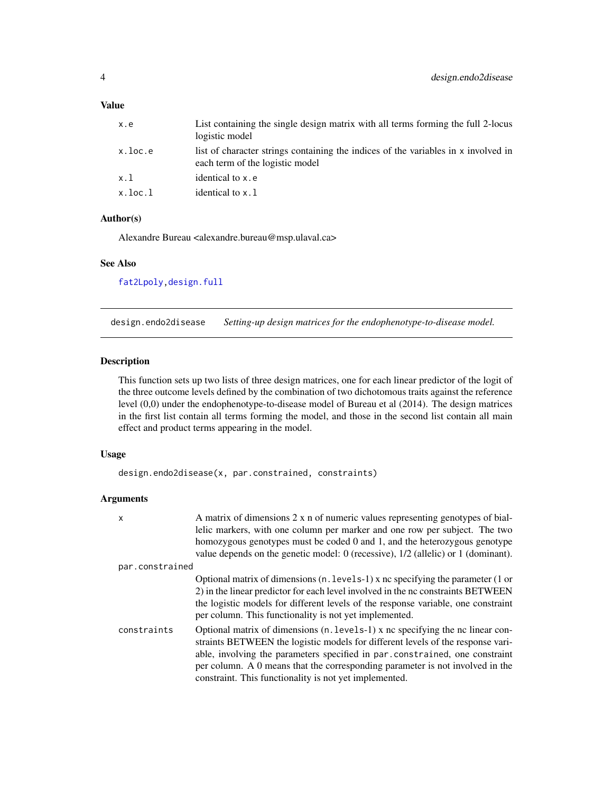#### <span id="page-3-0"></span>Value

| x.e     | List containing the single design matrix with all terms forming the full 2-locus<br>logistic model                    |
|---------|-----------------------------------------------------------------------------------------------------------------------|
| x.loc.e | list of character strings containing the indices of the variables in x involved in<br>each term of the logistic model |
| x.1     | identical to x.e                                                                                                      |
| x.loc.l | identical to x.1                                                                                                      |

#### Author(s)

Alexandre Bureau <alexandre.bureau@msp.ulaval.ca>

#### See Also

[fat2Lpoly](#page-6-1)[,design.full](#page-4-1)

<span id="page-3-1"></span>design.endo2disease *Setting-up design matrices for the endophenotype-to-disease model.*

#### Description

This function sets up two lists of three design matrices, one for each linear predictor of the logit of the three outcome levels defined by the combination of two dichotomous traits against the reference level (0,0) under the endophenotype-to-disease model of Bureau et al (2014). The design matrices in the first list contain all terms forming the model, and those in the second list contain all main effect and product terms appearing in the model.

#### Usage

design.endo2disease(x, par.constrained, constraints)

#### Arguments

| X               | A matrix of dimensions $2 \times n$ of numeric values representing genotypes of bial-<br>lelic markers, with one column per marker and one row per subject. The two<br>homozygous genotypes must be coded 0 and 1, and the heterozygous genotype<br>value depends on the genetic model: $0$ (recessive), $1/2$ (allelic) or $1$ (dominant).                                                 |
|-----------------|---------------------------------------------------------------------------------------------------------------------------------------------------------------------------------------------------------------------------------------------------------------------------------------------------------------------------------------------------------------------------------------------|
| par.constrained |                                                                                                                                                                                                                                                                                                                                                                                             |
|                 | Optional matrix of dimensions $(n. levels-1)$ x nc specifying the parameter $(1 \text{ or }$<br>2) in the linear predictor for each level involved in the nc constraints BETWEEN<br>the logistic models for different levels of the response variable, one constraint<br>per column. This functionality is not yet implemented.                                                             |
| constraints     | Optional matrix of dimensions (n. levels-1) x nc specifying the nc linear con-<br>straints BETWEEN the logistic models for different levels of the response vari-<br>able, involving the parameters specified in par constrained, one constraint<br>per column. A 0 means that the corresponding parameter is not involved in the<br>constraint. This functionality is not yet implemented. |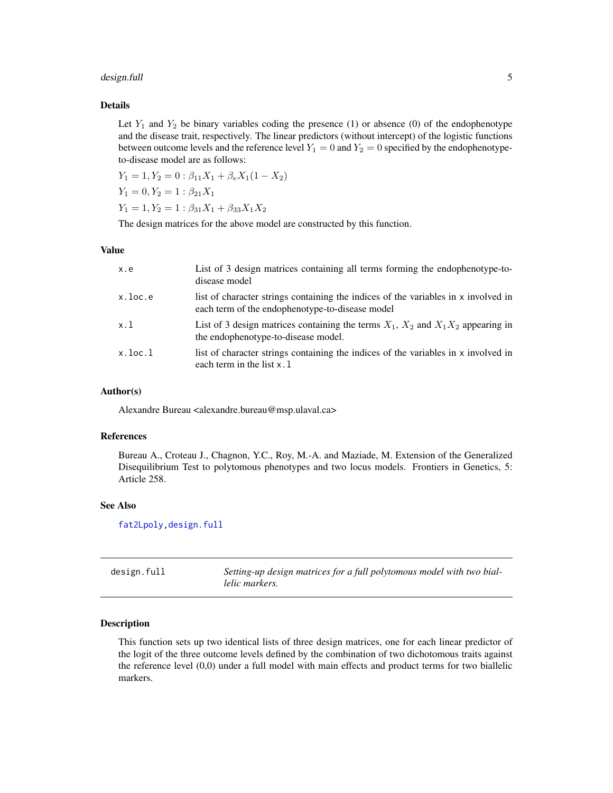#### <span id="page-4-0"></span>design.full 5

#### Details

Let  $Y_1$  and  $Y_2$  be binary variables coding the presence (1) or absence (0) of the endophenotype and the disease trait, respectively. The linear predictors (without intercept) of the logistic functions between outcome levels and the reference level  $Y_1 = 0$  and  $Y_2 = 0$  specified by the endophenotypeto-disease model are as follows:

```
Y_1 = 1, Y_2 = 0: \beta_{11}X_1 + \beta_e X_1(1 - X_2)Y_1 = 0, Y_2 = 1 : \beta_{21} X_1Y_1 = 1, Y_2 = 1 : \beta_{31}X_1 + \beta_{33}X_1X_2
```
The design matrices for the above model are constructed by this function.

#### Value

| x.e           | List of 3 design matrices containing all terms forming the endophenotype-to-<br>disease model                                         |
|---------------|---------------------------------------------------------------------------------------------------------------------------------------|
| x.loc.e       | list of character strings containing the indices of the variables in x involved in<br>each term of the endophenotype-to-disease model |
| x.1           | List of 3 design matrices containing the terms $X_1$ , $X_2$ and $X_1X_2$ appearing in<br>the endophenotype-to-disease model.         |
| $x.$ loc. $1$ | list of character strings containing the indices of the variables in x involved in<br>each term in the list $x \cdot 1$               |

#### Author(s)

Alexandre Bureau <alexandre.bureau@msp.ulaval.ca>

#### References

Bureau A., Croteau J., Chagnon, Y.C., Roy, M.-A. and Maziade, M. Extension of the Generalized Disequilibrium Test to polytomous phenotypes and two locus models. Frontiers in Genetics, 5: Article 258.

#### See Also

[fat2Lpoly](#page-6-1)[,design.full](#page-4-1)

<span id="page-4-1"></span>

| design.full | Setting-up design matrices for a full polytomous model with two bial- |
|-------------|-----------------------------------------------------------------------|
|             | lelic markers.                                                        |

#### Description

This function sets up two identical lists of three design matrices, one for each linear predictor of the logit of the three outcome levels defined by the combination of two dichotomous traits against the reference level (0,0) under a full model with main effects and product terms for two biallelic markers.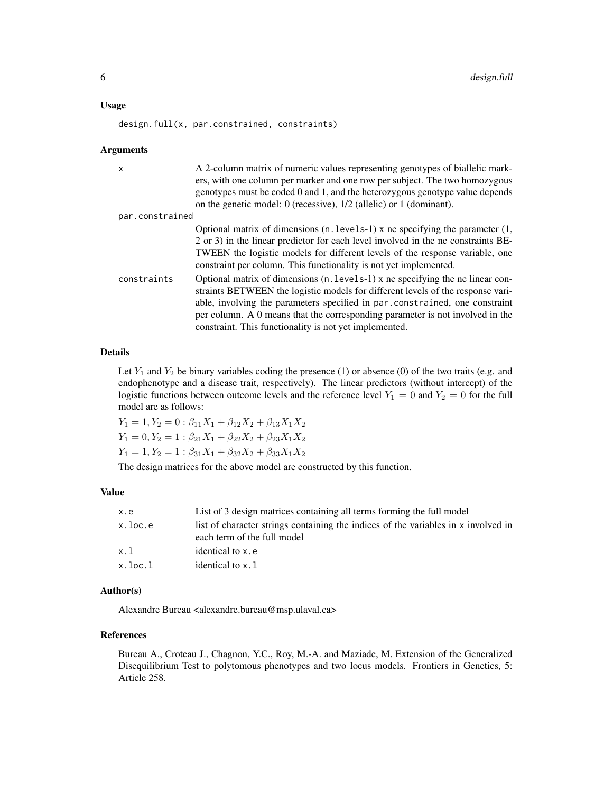#### Usage

design.full(x, par.constrained, constraints)

#### Arguments

| $\mathsf{x}$    | A 2-column matrix of numeric values representing genotypes of biallelic mark-        |
|-----------------|--------------------------------------------------------------------------------------|
|                 | ers, with one column per marker and one row per subject. The two homozygous          |
|                 | genotypes must be coded 0 and 1, and the heterozygous genotype value depends         |
|                 | on the genetic model: 0 (recessive), $1/2$ (allelic) or 1 (dominant).                |
| par.constrained |                                                                                      |
|                 | Optional matrix of dimensions $(n. levels-1)$ x nc specifying the parameter $(1, 1)$ |
|                 | 2 or 3) in the linear predictor for each level involved in the nc constraints BE-    |
|                 | TWEEN the logistic models for different levels of the response variable, one         |
|                 | constraint per column. This functionality is not yet implemented.                    |
| constraints     | Optional matrix of dimensions $(n, levels-1)$ x no specifying the no linear con-     |
|                 | straints BETWEEN the logistic models for different levels of the response vari-      |
|                 | able, involving the parameters specified in par.constrained, one constraint          |
|                 | per column. A 0 means that the corresponding parameter is not involved in the        |
|                 | constraint. This functionality is not yet implemented.                               |

#### Details

Let  $Y_1$  and  $Y_2$  be binary variables coding the presence (1) or absence (0) of the two traits (e.g. and endophenotype and a disease trait, respectively). The linear predictors (without intercept) of the logistic functions between outcome levels and the reference level  $Y_1 = 0$  and  $Y_2 = 0$  for the full model are as follows:

 $Y_1 = 1, Y_2 = 0$ :  $\beta_{11}X_1 + \beta_{12}X_2 + \beta_{13}X_1X_2$  $Y_1 = 0, Y_2 = 1 : \beta_{21}X_1 + \beta_{22}X_2 + \beta_{23}X_1X_2$  $Y_1 = 1, Y_2 = 1 : \beta_{31}X_1 + \beta_{32}X_2 + \beta_{33}X_1X_2$ 

The design matrices for the above model are constructed by this function.

#### Value

| x.e           | List of 3 design matrices containing all terms forming the full model                                             |
|---------------|-------------------------------------------------------------------------------------------------------------------|
| x.loc.e       | list of character strings containing the indices of the variables in x involved in<br>each term of the full model |
| x.1           | identical to x.e                                                                                                  |
| $x.$ loc. $1$ | identical to x.1                                                                                                  |

#### Author(s)

Alexandre Bureau <alexandre.bureau@msp.ulaval.ca>

#### References

Bureau A., Croteau J., Chagnon, Y.C., Roy, M.-A. and Maziade, M. Extension of the Generalized Disequilibrium Test to polytomous phenotypes and two locus models. Frontiers in Genetics, 5: Article 258.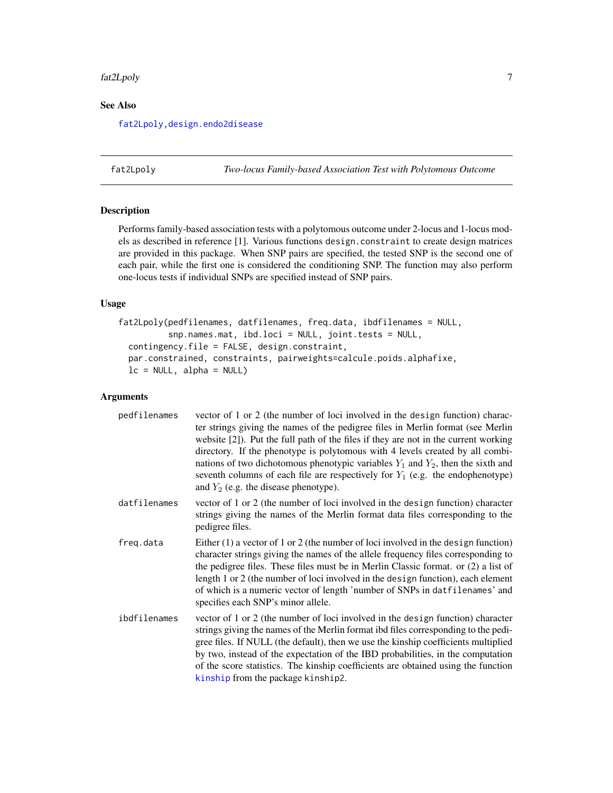#### <span id="page-6-0"></span>fat2Lpoly 7

#### See Also

[fat2Lpoly](#page-6-1)[,design.endo2disease](#page-3-1)

<span id="page-6-1"></span>fat2Lpoly *Two-locus Family-based Association Test with Polytomous Outcome*

#### Description

Performs family-based association tests with a polytomous outcome under 2-locus and 1-locus models as described in reference [1]. Various functions design.constraint to create design matrices are provided in this package. When SNP pairs are specified, the tested SNP is the second one of each pair, while the first one is considered the conditioning SNP. The function may also perform one-locus tests if individual SNPs are specified instead of SNP pairs.

#### Usage

```
fat2Lpoly(pedfilenames, datfilenames, freq.data, ibdfilenames = NULL,
          snp.names.mat, ibd.loci = NULL, joint.tests = NULL,
  contingency.file = FALSE, design.constraint,
 par.constrained, constraints, pairweights=calcule.poids.alphafixe,
  lc = NULL, alpha = NULL)
```
#### Arguments

| pedfilenames | vector of 1 or 2 (the number of loci involved in the design function) charac-<br>ter strings giving the names of the pedigree files in Merlin format (see Merlin<br>website $[2]$ ). Put the full path of the files if they are not in the current working<br>directory. If the phenotype is polytomous with 4 levels created by all combi-<br>nations of two dichotomous phenotypic variables $Y_1$ and $Y_2$ , then the sixth and<br>seventh columns of each file are respectively for $Y_1$ (e.g. the endophenotype)<br>and $Y_2$ (e.g. the disease phenotype). |
|--------------|--------------------------------------------------------------------------------------------------------------------------------------------------------------------------------------------------------------------------------------------------------------------------------------------------------------------------------------------------------------------------------------------------------------------------------------------------------------------------------------------------------------------------------------------------------------------|
| datfilenames | vector of 1 or 2 (the number of loci involved in the design function) character<br>strings giving the names of the Merlin format data files corresponding to the<br>pedigree files.                                                                                                                                                                                                                                                                                                                                                                                |
| freq.data    | Either $(1)$ a vector of 1 or 2 (the number of loci involved in the design function)<br>character strings giving the names of the allele frequency files corresponding to<br>the pedigree files. These files must be in Merlin Classic format. or $(2)$ a list of<br>length 1 or 2 (the number of loci involved in the design function), each element<br>of which is a numeric vector of length 'number of SNPs in datfilenames' and<br>specifies each SNP's minor allele.                                                                                         |
| ibdfilenames | vector of 1 or 2 (the number of loci involved in the design function) character<br>strings giving the names of the Merlin format ibd files corresponding to the pedi-<br>gree files. If NULL (the default), then we use the kinship coefficients multiplied<br>by two, instead of the expectation of the IBD probabilities, in the computation<br>of the score statistics. The kinship coefficients are obtained using the function<br>kinship from the package kinship2.                                                                                          |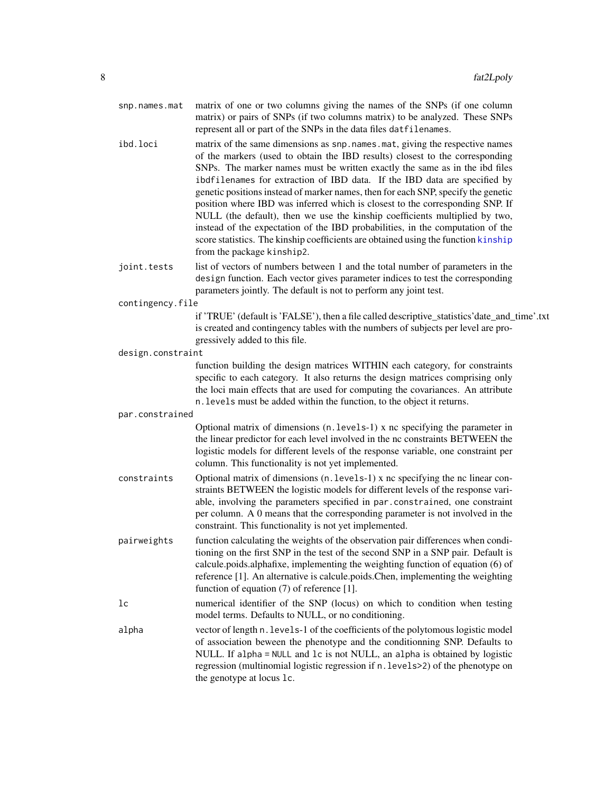| snp.names.mat     | matrix of one or two columns giving the names of the SNPs (if one column<br>matrix) or pairs of SNPs (if two columns matrix) to be analyzed. These SNPs<br>represent all or part of the SNPs in the data files datfilenames.                                                                                                                                                                                                                                                                                                                                                                                                                                                                                                                                                         |
|-------------------|--------------------------------------------------------------------------------------------------------------------------------------------------------------------------------------------------------------------------------------------------------------------------------------------------------------------------------------------------------------------------------------------------------------------------------------------------------------------------------------------------------------------------------------------------------------------------------------------------------------------------------------------------------------------------------------------------------------------------------------------------------------------------------------|
| ibd.loci          | matrix of the same dimensions as snp. names. mat, giving the respective names<br>of the markers (used to obtain the IBD results) closest to the corresponding<br>SNPs. The marker names must be written exactly the same as in the ibd files<br>ibdfilenames for extraction of IBD data. If the IBD data are specified by<br>genetic positions instead of marker names, then for each SNP, specify the genetic<br>position where IBD was inferred which is closest to the corresponding SNP. If<br>NULL (the default), then we use the kinship coefficients multiplied by two,<br>instead of the expectation of the IBD probabilities, in the computation of the<br>score statistics. The kinship coefficients are obtained using the function kinship<br>from the package kinship2. |
| joint.tests       | list of vectors of numbers between 1 and the total number of parameters in the<br>design function. Each vector gives parameter indices to test the corresponding<br>parameters jointly. The default is not to perform any joint test.                                                                                                                                                                                                                                                                                                                                                                                                                                                                                                                                                |
| contingency.file  |                                                                                                                                                                                                                                                                                                                                                                                                                                                                                                                                                                                                                                                                                                                                                                                      |
|                   | if 'TRUE' (default is 'FALSE'), then a file called descriptive_statistics'date_and_time'.txt<br>is created and contingency tables with the numbers of subjects per level are pro-<br>gressively added to this file.                                                                                                                                                                                                                                                                                                                                                                                                                                                                                                                                                                  |
| design.constraint |                                                                                                                                                                                                                                                                                                                                                                                                                                                                                                                                                                                                                                                                                                                                                                                      |
|                   | function building the design matrices WITHIN each category, for constraints<br>specific to each category. It also returns the design matrices comprising only<br>the loci main effects that are used for computing the covariances. An attribute<br>n. levels must be added within the function, to the object it returns.                                                                                                                                                                                                                                                                                                                                                                                                                                                           |
| par.constrained   |                                                                                                                                                                                                                                                                                                                                                                                                                                                                                                                                                                                                                                                                                                                                                                                      |
|                   | Optional matrix of dimensions (n. levels-1) x nc specifying the parameter in<br>the linear predictor for each level involved in the nc constraints BETWEEN the<br>logistic models for different levels of the response variable, one constraint per<br>column. This functionality is not yet implemented.                                                                                                                                                                                                                                                                                                                                                                                                                                                                            |
| constraints       | Optional matrix of dimensions (n. levels-1) x nc specifying the nc linear con-<br>straints BETWEEN the logistic models for different levels of the response vari-<br>able, involving the parameters specified in par.constrained, one constraint<br>per column. A 0 means that the corresponding parameter is not involved in the<br>constraint. This functionality is not yet implemented.                                                                                                                                                                                                                                                                                                                                                                                          |
| pairweights       | function calculating the weights of the observation pair differences when condi-<br>tioning on the first SNP in the test of the second SNP in a SNP pair. Default is<br>calcule.poids.alphafixe, implementing the weighting function of equation (6) of<br>reference [1]. An alternative is calcule poids. Chen, implementing the weighting<br>function of equation $(7)$ of reference [1].                                                                                                                                                                                                                                                                                                                                                                                          |
| 1 <sup>c</sup>    | numerical identifier of the SNP (locus) on which to condition when testing<br>model terms. Defaults to NULL, or no conditioning.                                                                                                                                                                                                                                                                                                                                                                                                                                                                                                                                                                                                                                                     |
| alpha             | vector of length n. levels-1 of the coefficients of the polytomous logistic model<br>of association beween the phenotype and the conditionning SNP. Defaults to<br>NULL. If alpha = NULL and 1c is not NULL, an alpha is obtained by logistic<br>regression (multinomial logistic regression if n. levels>2) of the phenotype on<br>the genotype at locus 1c.                                                                                                                                                                                                                                                                                                                                                                                                                        |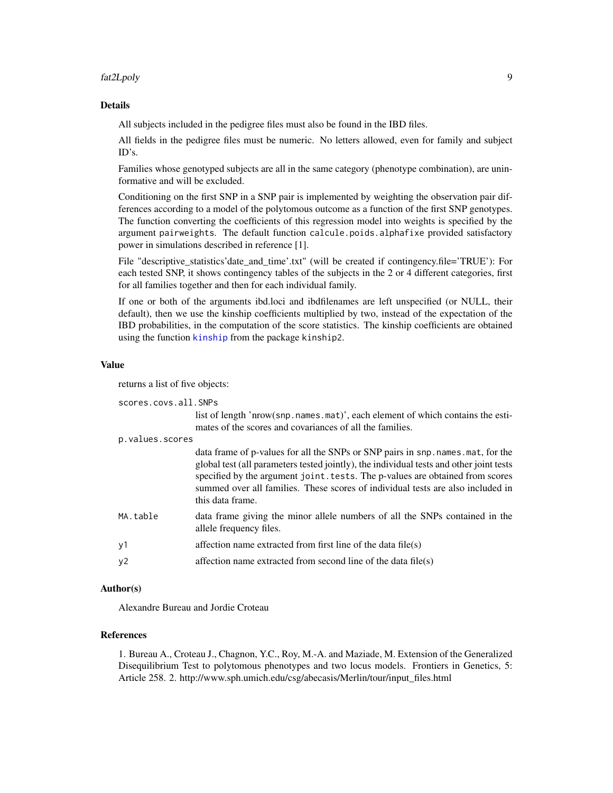#### <span id="page-8-0"></span>fat2Lpoly 9

#### Details

All subjects included in the pedigree files must also be found in the IBD files.

All fields in the pedigree files must be numeric. No letters allowed, even for family and subject ID's.

Families whose genotyped subjects are all in the same category (phenotype combination), are uninformative and will be excluded.

Conditioning on the first SNP in a SNP pair is implemented by weighting the observation pair differences according to a model of the polytomous outcome as a function of the first SNP genotypes. The function converting the coefficients of this regression model into weights is specified by the argument pairweights. The default function calcule.poids.alphafixe provided satisfactory power in simulations described in reference [1].

File "descriptive statistics'date and time'.txt" (will be created if contingency.file='TRUE'): For each tested SNP, it shows contingency tables of the subjects in the 2 or 4 different categories, first for all families together and then for each individual family.

If one or both of the arguments ibd.loci and ibdfilenames are left unspecified (or NULL, their default), then we use the kinship coefficients multiplied by two, instead of the expectation of the IBD probabilities, in the computation of the score statistics. The kinship coefficients are obtained using the function [kinship](#page-0-0) from the package kinship2.

#### Value

returns a list of five objects:

scores.covs.all.SNPs

list of length 'nrow(snp.names.mat)', each element of which contains the estimates of the scores and covariances of all the families.

#### p.values.scores

|                | data frame of p-values for all the SNPs or SNP pairs in snp. names. mat, for the<br>global test (all parameters tested jointly), the individual tests and other joint tests<br>specified by the argument joint. tests. The p-values are obtained from scores<br>summed over all families. These scores of individual tests are also included in<br>this data frame. |
|----------------|---------------------------------------------------------------------------------------------------------------------------------------------------------------------------------------------------------------------------------------------------------------------------------------------------------------------------------------------------------------------|
| MA.table       | data frame giving the minor allele numbers of all the SNPs contained in the<br>allele frequency files.                                                                                                                                                                                                                                                              |
| y1             | affection name extracted from first line of the data file(s)                                                                                                                                                                                                                                                                                                        |
| y <sub>2</sub> | affection name extracted from second line of the data file(s)                                                                                                                                                                                                                                                                                                       |

#### Author(s)

Alexandre Bureau and Jordie Croteau

#### References

1. Bureau A., Croteau J., Chagnon, Y.C., Roy, M.-A. and Maziade, M. Extension of the Generalized Disequilibrium Test to polytomous phenotypes and two locus models. Frontiers in Genetics, 5: Article 258. 2. http://www.sph.umich.edu/csg/abecasis/Merlin/tour/input\_files.html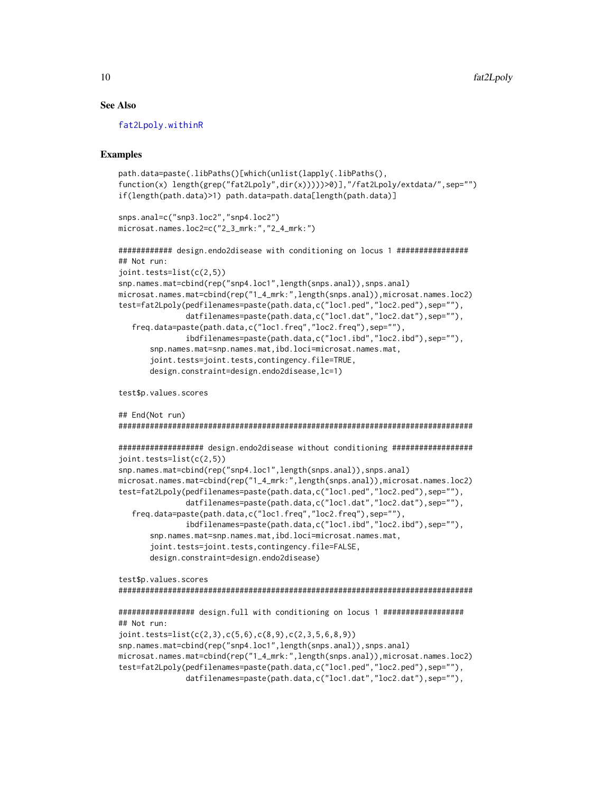#### See Also

[fat2Lpoly.withinR](#page-11-1)

#### Examples

```
path.data=paste(.libPaths()[which(unlist(lapply(.libPaths(),
function(x) length(grep("fat2Lpoly",dir(x)))))>0)],"/fat2Lpoly/extdata/",sep="")
if(length(path.data)>1) path.data=path.data[length(path.data)]
snps.anal=c("snp3.loc2","snp4.loc2")
microsat.names.loc2=c("2_3_mrk:","2_4_mrk:")
############ design.endo2disease with conditioning on locus 1 ################
## Not run:
joint.tests=list(c(2,5))
snp.names.mat=cbind(rep("snp4.loc1",length(snps.anal)),snps.anal)
microsat.names.mat=cbind(rep("1_4_mrk:",length(snps.anal)),microsat.names.loc2)
test=fat2Lpoly(pedfilenames=paste(path.data,c("loc1.ped","loc2.ped"),sep=""),
               datfilenames=paste(path.data,c("loc1.dat","loc2.dat"),sep=""),
   freq.data=paste(path.data,c("loc1.freq","loc2.freq"),sep=""),
               ibdfilenames=paste(path.data,c("loc1.ibd","loc2.ibd"),sep=""),
      snp.names.mat=snp.names.mat,ibd.loci=microsat.names.mat,
       joint.tests=joint.tests,contingency.file=TRUE,
      design.constraint=design.endo2disease,lc=1)
```
test\$p.values.scores

```
## End(Not run)
###############################################################################
################### design.endo2disease without conditioning ##################
joint.tests=list(c(2,5))
snp.names.mat=cbind(rep("snp4.loc1",length(snps.anal)),snps.anal)
microsat.names.mat=cbind(rep("1_4_mrk:",length(snps.anal)),microsat.names.loc2)
test=fat2Lpoly(pedfilenames=paste(path.data,c("loc1.ped","loc2.ped"),sep=""),
               datfilenames=paste(path.data,c("loc1.dat","loc2.dat"),sep=""),
  freq.data=paste(path.data,c("loc1.freq","loc2.freq"),sep=""),
               ibdfilenames=paste(path.data,c("loc1.ibd","loc2.ibd"),sep=""),
      snp.names.mat=snp.names.mat,ibd.loci=microsat.names.mat,
      joint.tests=joint.tests,contingency.file=FALSE,
      design.constraint=design.endo2disease)
test$p.values.scores
###############################################################################
################# design.full with conditioning on locus 1 ##################
## Not run:
joint.tests=list(c(2,3),c(5,6),c(8,9),c(2,3,5,6,8,9))
```

```
snp.names.mat=cbind(rep("snp4.loc1",length(snps.anal)),snps.anal)
microsat.names.mat=cbind(rep("1_4_mrk:",length(snps.anal)),microsat.names.loc2)
test=fat2Lpoly(pedfilenames=paste(path.data,c("loc1.ped","loc2.ped"),sep=""),
               datfilenames=paste(path.data,c("loc1.dat","loc2.dat"),sep=""),
```
<span id="page-9-0"></span>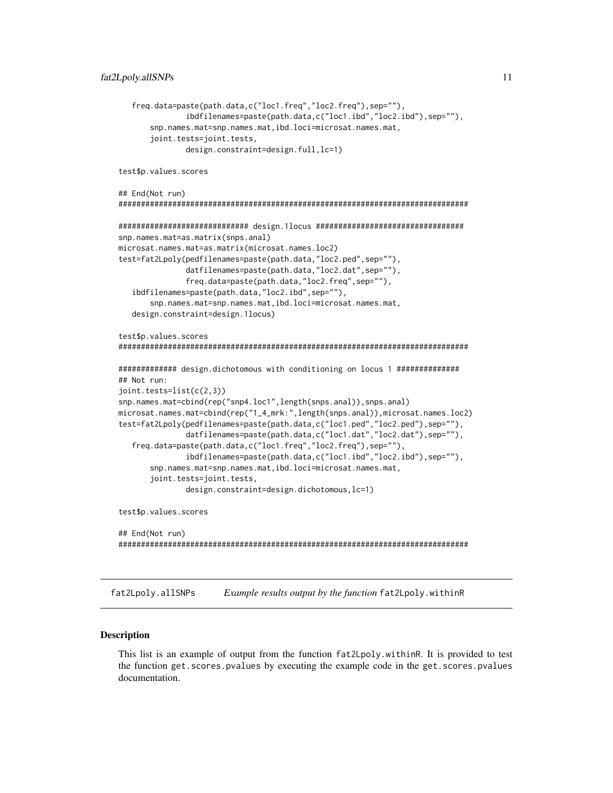```
freq.data=paste(path.data,c("loc1.freq","loc2.freq"),sep=""),
               ibdfilenames=paste(path.data,c("loc1.ibd","loc2.ibd"),sep=""),
      snp.names.mat=snp.names.mat,ibd.loci=microsat.names.mat,
      joint.tests=joint.tests,
               design.constraint=design.full,lc=1)
test$p.values.scores
## End(Not run)
##############################################################################
############################# design.1locus #################################
snp.names.mat=as.matrix(snps.anal)
microsat.names.mat=as.matrix(microsat.names.loc2)
test=fat2Lpoly(pedfilenames=paste(path.data,"loc2.ped",sep=""),
               datfilenames=paste(path.data,"loc2.dat",sep=""),
               freq.data=paste(path.data,"loc2.freq",sep=""),
  ibdfilenames=paste(path.data,"loc2.ibd",sep=""),
      snp.names.mat=snp.names.mat,ibd.loci=microsat.names.mat,
  design.constraint=design.1locus)
test$p.values.scores
##############################################################################
############# design.dichotomous with conditioning on locus 1 ##############
## Not run:
joint.tests=list(c(2,3))
snp.names.mat=cbind(rep("snp4.loc1",length(snps.anal)),snps.anal)
microsat.names.mat=cbind(rep("1_4_mrk:",length(snps.anal)),microsat.names.loc2)
test=fat2Lpoly(pedfilenames=paste(path.data,c("loc1.ped","loc2.ped"),sep=""),
               datfilenames=paste(path.data,c("loc1.dat","loc2.dat"),sep=""),
  freq.data=paste(path.data,c("loc1.freq","loc2.freq"),sep=""),
               ibdfilenames=paste(path.data,c("loc1.ibd","loc2.ibd"),sep=""),
      snp.names.mat=snp.names.mat,ibd.loci=microsat.names.mat,
      joint.tests=joint.tests,
               design.constraint=design.dichotomous,lc=1)
test$p.values.scores
## End(Not run)
##############################################################################
```
fat2Lpoly.allSNPs *Example results output by the function* fat2Lpoly.withinR

#### **Description**

This list is an example of output from the function fat2Lpoly.withinR. It is provided to test the function get.scores.pvalues by executing the example code in the get.scores.pvalues documentation.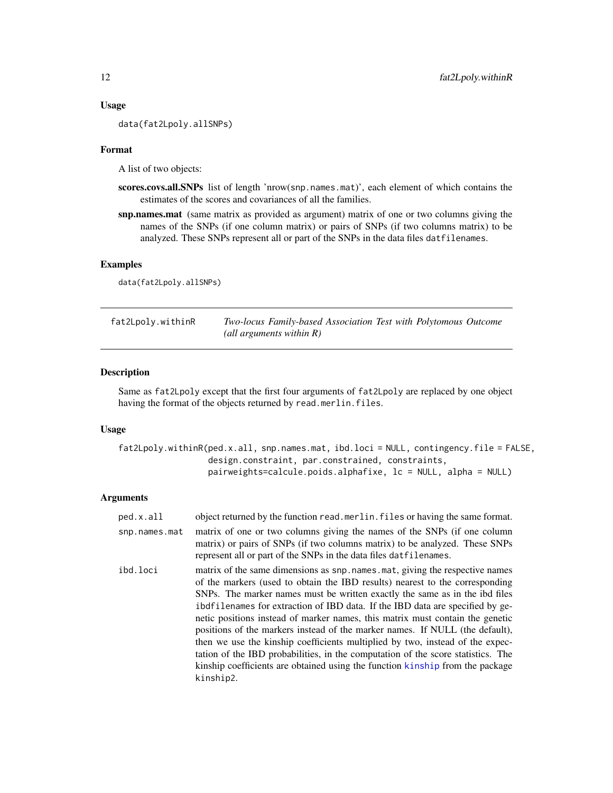#### Usage

data(fat2Lpoly.allSNPs)

#### Format

A list of two objects:

- scores.covs.all.SNPs list of length 'nrow(snp.names.mat)', each element of which contains the estimates of the scores and covariances of all the families.
- snp.names.mat (same matrix as provided as argument) matrix of one or two columns giving the names of the SNPs (if one column matrix) or pairs of SNPs (if two columns matrix) to be analyzed. These SNPs represent all or part of the SNPs in the data files datfilenames.

#### Examples

data(fat2Lpoly.allSNPs)

<span id="page-11-1"></span>

| fat2Lpoly.withinR | Two-locus Family-based Association Test with Polytomous Outcome |  |  |
|-------------------|-----------------------------------------------------------------|--|--|
|                   | (all arguments within $R$ )                                     |  |  |

#### Description

Same as fat2Lpoly except that the first four arguments of fat2Lpoly are replaced by one object having the format of the objects returned by read.merlin.files.

#### Usage

```
fat2Lpoly.withinR(ped.x.all, snp.names.mat, ibd.loci = NULL, contingency.file = FALSE,
                  design.constraint, par.constrained, constraints,
                  pairweights=calcule.poids.alphafixe, lc = NULL, alpha = NULL)
```
#### **Arguments**

| ped.x.all     | object returned by the function read. merlin. files or having the same format.                                                                                                                                                                                                                                                                                                                                                                                                                                                                                                                                                                                                                                                                                    |
|---------------|-------------------------------------------------------------------------------------------------------------------------------------------------------------------------------------------------------------------------------------------------------------------------------------------------------------------------------------------------------------------------------------------------------------------------------------------------------------------------------------------------------------------------------------------------------------------------------------------------------------------------------------------------------------------------------------------------------------------------------------------------------------------|
| snp.names.mat | matrix of one or two columns giving the names of the SNPs (if one column<br>matrix) or pairs of SNPs (if two columns matrix) to be analyzed. These SNPs<br>represent all or part of the SNPs in the data files datilenames.                                                                                                                                                                                                                                                                                                                                                                                                                                                                                                                                       |
| ibd.loci      | matrix of the same dimensions as snp. names. mat, giving the respective names<br>of the markers (used to obtain the IBD results) nearest to the corresponding<br>SNPs. The marker names must be written exactly the same as in the ibd files<br>ibdfilenames for extraction of IBD data. If the IBD data are specified by ge-<br>netic positions instead of marker names, this matrix must contain the genetic<br>positions of the markers instead of the marker names. If NULL (the default),<br>then we use the kinship coefficients multiplied by two, instead of the expec-<br>tation of the IBD probabilities, in the computation of the score statistics. The<br>kinship coefficients are obtained using the function kinship from the package<br>kinship2. |

<span id="page-11-0"></span>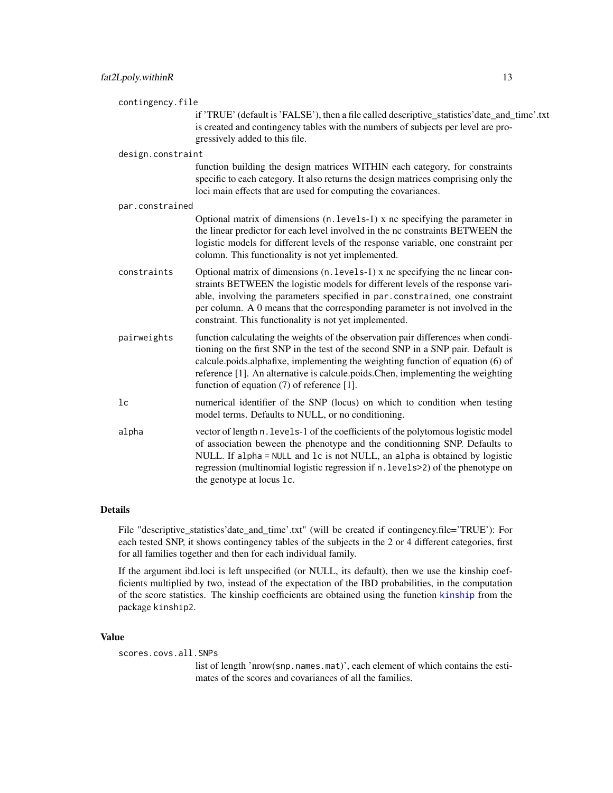<span id="page-12-0"></span>

| contingency.file  |                                                                                                                                                                                                                                                                                                                                                                                             |
|-------------------|---------------------------------------------------------------------------------------------------------------------------------------------------------------------------------------------------------------------------------------------------------------------------------------------------------------------------------------------------------------------------------------------|
|                   | if 'TRUE' (default is 'FALSE'), then a file called descriptive_statistics'date_and_time'.txt<br>is created and contingency tables with the numbers of subjects per level are pro-<br>gressively added to this file.                                                                                                                                                                         |
| design.constraint |                                                                                                                                                                                                                                                                                                                                                                                             |
|                   | function building the design matrices WITHIN each category, for constraints<br>specific to each category. It also returns the design matrices comprising only the<br>loci main effects that are used for computing the covariances.                                                                                                                                                         |
| par.constrained   |                                                                                                                                                                                                                                                                                                                                                                                             |
|                   | Optional matrix of dimensions (n. levels-1) x nc specifying the parameter in<br>the linear predictor for each level involved in the nc constraints BETWEEN the<br>logistic models for different levels of the response variable, one constraint per<br>column. This functionality is not yet implemented.                                                                                   |
| constraints       | Optional matrix of dimensions (n. levels-1) x nc specifying the nc linear con-<br>straints BETWEEN the logistic models for different levels of the response vari-<br>able, involving the parameters specified in par.constrained, one constraint<br>per column. A 0 means that the corresponding parameter is not involved in the<br>constraint. This functionality is not yet implemented. |
| pairweights       | function calculating the weights of the observation pair differences when condi-<br>tioning on the first SNP in the test of the second SNP in a SNP pair. Default is<br>calcule.poids.alphafixe, implementing the weighting function of equation (6) of<br>reference [1]. An alternative is calcule.poids.Chen, implementing the weighting<br>function of equation (7) of reference [1].    |
| 1 <sub>c</sub>    | numerical identifier of the SNP (locus) on which to condition when testing<br>model terms. Defaults to NULL, or no conditioning.                                                                                                                                                                                                                                                            |
| alpha             | vector of length n. levels-1 of the coefficients of the polytomous logistic model<br>of association beween the phenotype and the conditionning SNP. Defaults to<br>NULL. If alpha = NULL and lc is not NULL, an alpha is obtained by logistic<br>regression (multinomial logistic regression if n. levels>2) of the phenotype on<br>the genotype at locus 1c.                               |

#### Details

File "descriptive\_statistics'date\_and\_time'.txt" (will be created if contingency.file='TRUE'): For each tested SNP, it shows contingency tables of the subjects in the 2 or 4 different categories, first for all families together and then for each individual family.

If the argument ibd.loci is left unspecified (or NULL, its default), then we use the kinship coefficients multiplied by two, instead of the expectation of the IBD probabilities, in the computation of the score statistics. The kinship coefficients are obtained using the function [kinship](#page-0-0) from the package kinship2.

#### Value

scores.covs.all.SNPs

list of length 'nrow(snp.names.mat)', each element of which contains the estimates of the scores and covariances of all the families.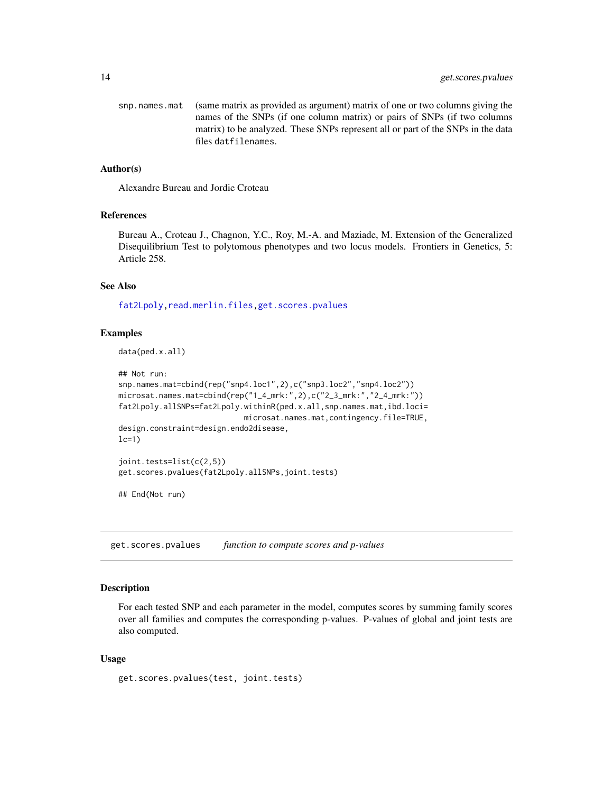<span id="page-13-0"></span>snp.names.mat (same matrix as provided as argument) matrix of one or two columns giving the names of the SNPs (if one column matrix) or pairs of SNPs (if two columns matrix) to be analyzed. These SNPs represent all or part of the SNPs in the data files datfilenames.

#### Author(s)

Alexandre Bureau and Jordie Croteau

#### References

Bureau A., Croteau J., Chagnon, Y.C., Roy, M.-A. and Maziade, M. Extension of the Generalized Disequilibrium Test to polytomous phenotypes and two locus models. Frontiers in Genetics, 5: Article 258.

#### See Also

[fat2Lpoly](#page-6-1)[,read.merlin.files,](#page-15-1)[get.scores.pvalues](#page-13-1)

#### Examples

data(ped.x.all)

```
## Not run:
snp.names.mat=cbind(rep("snp4.loc1",2),c("snp3.loc2","snp4.loc2"))
microsat.names.mat=cbind(rep("1_4_mrk:",2),c("2_3_mrk:","2_4_mrk:"))
fat2Lpoly.allSNPs=fat2Lpoly.withinR(ped.x.all,snp.names.mat,ibd.loci=
                            microsat.names.mat,contingency.file=TRUE,
design.constraint=design.endo2disease,
lc=1)joint.tests=list(c(2,5))
get.scores.pvalues(fat2Lpoly.allSNPs,joint.tests)
```
## End(Not run)

<span id="page-13-1"></span>get.scores.pvalues *function to compute scores and p-values*

#### Description

For each tested SNP and each parameter in the model, computes scores by summing family scores over all families and computes the corresponding p-values. P-values of global and joint tests are also computed.

#### Usage

get.scores.pvalues(test, joint.tests)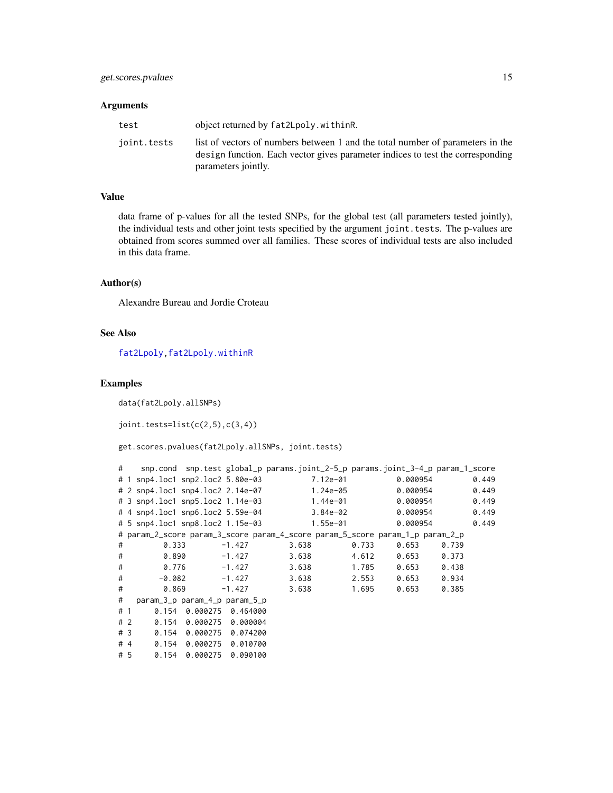#### <span id="page-14-0"></span>Arguments

| test        | object returned by fat2Lpoly.withinR.                                                                                                                                                   |
|-------------|-----------------------------------------------------------------------------------------------------------------------------------------------------------------------------------------|
| joint.tests | list of vectors of numbers between 1 and the total number of parameters in the<br>design function. Each vector gives parameter indices to test the corresponding<br>parameters jointly. |

#### Value

data frame of p-values for all the tested SNPs, for the global test (all parameters tested jointly), the individual tests and other joint tests specified by the argument joint.tests. The p-values are obtained from scores summed over all families. These scores of individual tests are also included in this data frame.

#### Author(s)

Alexandre Bureau and Jordie Croteau

#### See Also

[fat2Lpoly](#page-6-1)[,fat2Lpoly.withinR](#page-11-1)

#### Examples

data(fat2Lpoly.allSNPs)

 $joint.tests=list(c(2,5),c(3,4))$ 

get.scores.pvalues(fat2Lpoly.allSNPs, joint.tests)

|   | $\#$ |                                  |                               |          | snp.cond snp.test global_p params.joint_2-5_p params.joint_3-4_p param_1_score |          |          |       |       |
|---|------|----------------------------------|-------------------------------|----------|--------------------------------------------------------------------------------|----------|----------|-------|-------|
|   |      |                                  |                               |          | 7.12e-01                                                                       |          | 0.000954 |       | 0.449 |
|   |      |                                  |                               |          | 1.24e-05                                                                       |          | 0.000954 |       | 0.449 |
|   |      |                                  |                               |          | 1.44e-01                                                                       |          | 0.000954 |       | 0.449 |
|   |      | # 4 snp4.loc1 snp6.loc2 5.59e-04 |                               |          |                                                                                | 3.84e-02 | 0.000954 |       | 0.449 |
|   |      | # 5 snp4.loc1 snp8.loc2 1.15e-03 |                               |          | 1.55e-01                                                                       |          | 0.000954 |       | 0.449 |
|   |      |                                  |                               |          | # param_2_score param_3_score param_4_score param_5_score param_1_p param_2_p  |          |          |       |       |
| # |      | 0.333                            |                               | $-1.427$ | 3.638                                                                          | 0.733    | 0.653    | 0.739 |       |
| # |      | 0.890                            |                               | -1.427   | 3.638                                                                          | 4.612    | 0.653    | 0.373 |       |
| # |      |                                  | 0.776                         | $-1.427$ | 3.638                                                                          | 1.785    | 0.653    | 0.438 |       |
| # |      |                                  | $-0.082$                      | $-1.427$ | 3.638                                                                          | 2.553    | 0.653    | 0.934 |       |
| # |      |                                  | 0.869                         | $-1.427$ | 3.638                                                                          | 1.695    | 0.653    | 0.385 |       |
| # |      |                                  | param_3_p param_4_p param_5_p |          |                                                                                |          |          |       |       |
|   | # 1  | 0.154                            | 0.000275                      | 0.464000 |                                                                                |          |          |       |       |
|   | #2   |                                  | 0.154 0.000275 0.000004       |          |                                                                                |          |          |       |       |
|   | #3   |                                  | 0.154 0.000275 0.074200       |          |                                                                                |          |          |       |       |
|   | #4   |                                  | 0.154 0.000275 0.010700       |          |                                                                                |          |          |       |       |
|   | # 5  |                                  | $0.154$ $0.000275$ 0.090100   |          |                                                                                |          |          |       |       |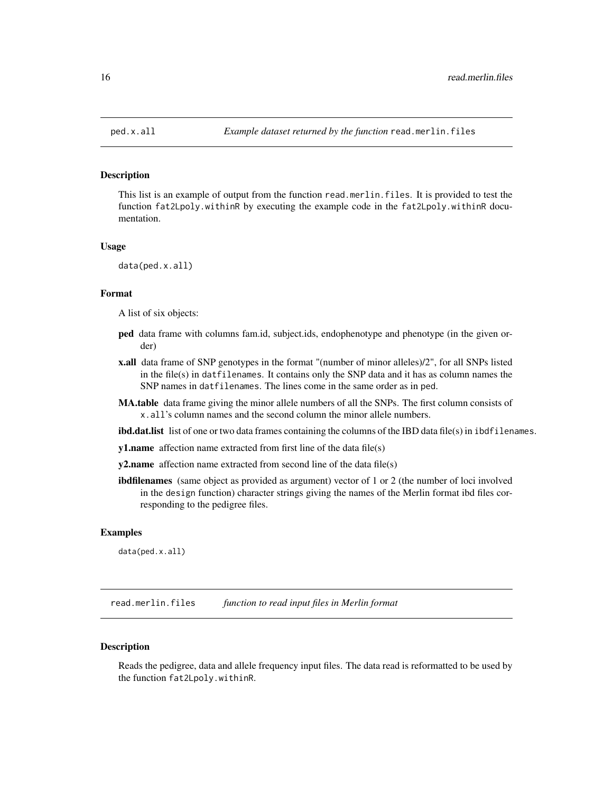<span id="page-15-0"></span>

#### Description

This list is an example of output from the function read.merlin.files. It is provided to test the function fat2Lpoly.withinR by executing the example code in the fat2Lpoly.withinR documentation.

#### Usage

data(ped.x.all)

#### Format

A list of six objects:

- ped data frame with columns fam.id, subject.ids, endophenotype and phenotype (in the given order)
- x.all data frame of SNP genotypes in the format "(number of minor alleles)/2", for all SNPs listed in the file(s) in datfilenames. It contains only the SNP data and it has as column names the SNP names in datfilenames. The lines come in the same order as in ped.
- MA.table data frame giving the minor allele numbers of all the SNPs. The first column consists of x.all's column names and the second column the minor allele numbers.
- ibd.dat.list list of one or two data frames containing the columns of the IBD data file(s) in ibdfilenames.
- y1.name affection name extracted from first line of the data file(s)
- **y2.name** affection name extracted from second line of the data file(s)
- ibdfilenames (same object as provided as argument) vector of 1 or 2 (the number of loci involved in the design function) character strings giving the names of the Merlin format ibd files corresponding to the pedigree files.

#### Examples

data(ped.x.all)

<span id="page-15-1"></span>read.merlin.files *function to read input files in Merlin format*

#### **Description**

Reads the pedigree, data and allele frequency input files. The data read is reformatted to be used by the function fat2Lpoly.withinR.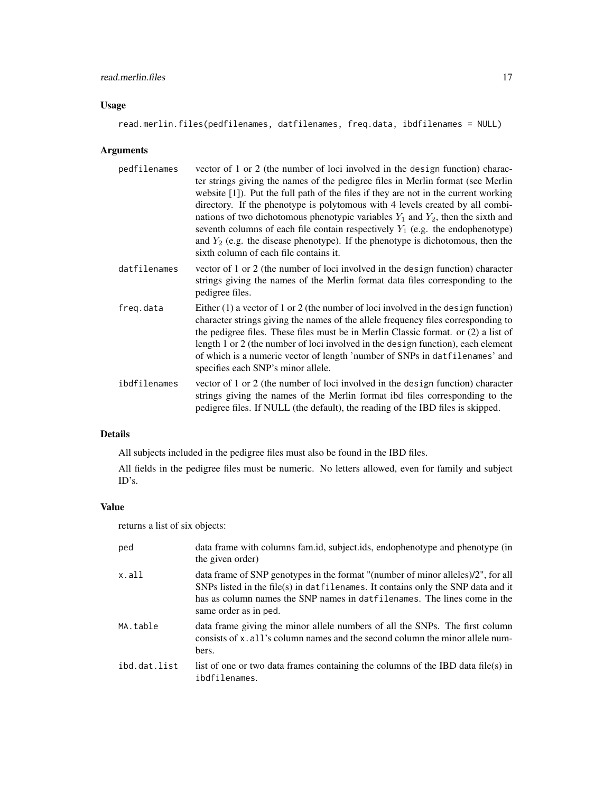#### read.merlin.files 17

#### Usage

read.merlin.files(pedfilenames, datfilenames, freq.data, ibdfilenames = NULL)

#### Arguments

| pedfilenames | vector of 1 or 2 (the number of loci involved in the design function) charac-<br>ter strings giving the names of the pedigree files in Merlin format (see Merlin<br>website $[1]$ ). Put the full path of the files if they are not in the current working<br>directory. If the phenotype is polytomous with 4 levels created by all combi-<br>nations of two dichotomous phenotypic variables $Y_1$ and $Y_2$ , then the sixth and<br>seventh columns of each file contain respectively $Y_1$ (e.g. the endophenotype)<br>and $Y_2$ (e.g. the disease phenotype). If the phenotype is dichotomous, then the<br>sixth column of each file contains it. |
|--------------|--------------------------------------------------------------------------------------------------------------------------------------------------------------------------------------------------------------------------------------------------------------------------------------------------------------------------------------------------------------------------------------------------------------------------------------------------------------------------------------------------------------------------------------------------------------------------------------------------------------------------------------------------------|
| datfilenames | vector of 1 or 2 (the number of loci involved in the design function) character<br>strings giving the names of the Merlin format data files corresponding to the<br>pedigree files.                                                                                                                                                                                                                                                                                                                                                                                                                                                                    |
| freq.data    | Either $(1)$ a vector of 1 or 2 (the number of loci involved in the design function)<br>character strings giving the names of the allele frequency files corresponding to<br>the pedigree files. These files must be in Merlin Classic format. or $(2)$ a list of<br>length 1 or 2 (the number of loci involved in the design function), each element<br>of which is a numeric vector of length 'number of SNPs in datfilenames' and<br>specifies each SNP's minor allele.                                                                                                                                                                             |
| ibdfilenames | vector of 1 or 2 (the number of loci involved in the design function) character<br>strings giving the names of the Merlin format ibd files corresponding to the<br>pedigree files. If NULL (the default), the reading of the IBD files is skipped.                                                                                                                                                                                                                                                                                                                                                                                                     |

#### Details

All subjects included in the pedigree files must also be found in the IBD files.

All fields in the pedigree files must be numeric. No letters allowed, even for family and subject ID's.

#### Value

returns a list of six objects:

| ped          | data frame with columns fam.id, subject.ids, endophenotype and phenotype (in<br>the given order)                                                                                                                                                                          |
|--------------|---------------------------------------------------------------------------------------------------------------------------------------------------------------------------------------------------------------------------------------------------------------------------|
| x.all        | data frame of SNP genotypes in the format "(number of minor alleles)/2", for all<br>SNPs listed in the file(s) in datfilenames. It contains only the SNP data and it<br>has as column names the SNP names in datfilenames. The lines come in the<br>same order as in ped. |
| MA.table     | data frame giving the minor allele numbers of all the SNPs. The first column<br>consists of x, all's column names and the second column the minor allele num-<br>bers.                                                                                                    |
| ibd.dat.list | list of one or two data frames containing the columns of the IBD data file(s) in<br>ibdfilenames.                                                                                                                                                                         |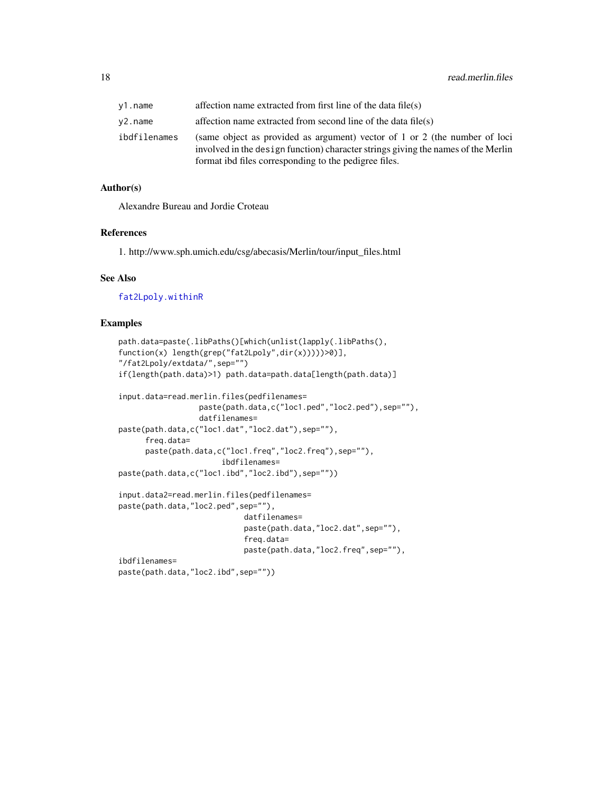<span id="page-17-0"></span>

| v1.name      | affection name extracted from first line of the data file(s)                                                                                                                                                             |
|--------------|--------------------------------------------------------------------------------------------------------------------------------------------------------------------------------------------------------------------------|
| v2.name      | affection name extracted from second line of the data file(s)                                                                                                                                                            |
| ibdfilenames | (same object as provided as argument) vector of 1 or 2 (the number of loci<br>involved in the design function) character strings giving the names of the Merlin<br>format ibd files corresponding to the pedigree files. |

#### Author(s)

Alexandre Bureau and Jordie Croteau

#### References

1. http://www.sph.umich.edu/csg/abecasis/Merlin/tour/input\_files.html

#### See Also

[fat2Lpoly.withinR](#page-11-1)

#### Examples

```
path.data=paste(.libPaths()[which(unlist(lapply(.libPaths(),
function(x) length(grep("fat2Lpoly",dir(x)))))>0)],
"/fat2Lpoly/extdata/",sep="")
if(length(path.data)>1) path.data=path.data[length(path.data)]
input.data=read.merlin.files(pedfilenames=
                 paste(path.data,c("loc1.ped","loc2.ped"),sep=""),
                 datfilenames=
paste(path.data,c("loc1.dat","loc2.dat"),sep=""),
     freq.data=
     paste(path.data,c("loc1.freq","loc2.freq"),sep=""),
                       ibdfilenames=
paste(path.data,c("loc1.ibd","loc2.ibd"),sep=""))
input.data2=read.merlin.files(pedfilenames=
paste(path.data,"loc2.ped",sep=""),
                            datfilenames=
                            paste(path.data,"loc2.dat",sep=""),
                            freq.data=
                            paste(path.data,"loc2.freq",sep=""),
ibdfilenames=
paste(path.data,"loc2.ibd",sep=""))
```